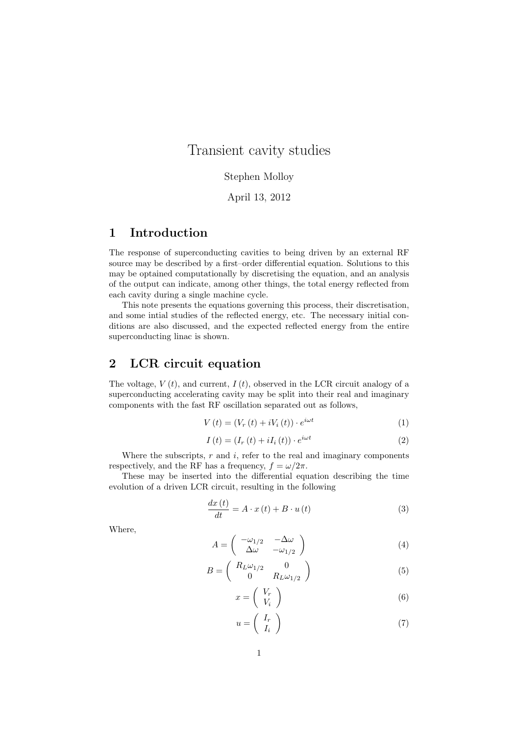# Transient cavity studies

## Stephen Molloy

### April 13, 2012

## 1 Introduction

The response of superconducting cavities to being driven by an external RF source may be described by a first–order differential equation. Solutions to this may be optained computationally by discretising the equation, and an analysis of the output can indicate, among other things, the total energy reflected from each cavity during a single machine cycle.

This note presents the equations governing this process, their discretisation, and some intial studies of the reflected energy, etc. The necessary initial conditions are also discussed, and the expected reflected energy from the entire superconducting linac is shown.

## 2 LCR circuit equation

The voltage,  $V(t)$ , and current,  $I(t)$ , observed in the LCR circuit analogy of a superconducting accelerating cavity may be split into their real and imaginary components with the fast RF oscillation separated out as follows,

$$
V(t) = (V_r(t) + iV_i(t)) \cdot e^{i\omega t}
$$
\n<sup>(1)</sup>

$$
I(t) = (I_r(t) + iI_i(t)) \cdot e^{i\omega t}
$$
\n(2)

Where the subscripts,  $r$  and  $i$ , refer to the real and imaginary components respectively, and the RF has a frequency,  $f = \omega/2\pi$ .

These may be inserted into the differential equation describing the time evolution of a driven LCR circuit, resulting in the following

$$
\frac{dx(t)}{dt} = A \cdot x(t) + B \cdot u(t)
$$
\n(3)

Where,

$$
A = \begin{pmatrix} -\omega_{1/2} & -\Delta\omega \\ \Delta\omega & -\omega_{1/2} \end{pmatrix}
$$
 (4)

$$
B = \begin{pmatrix} R_L \omega_{1/2} & 0 \\ 0 & R_L \omega_{1/2} \end{pmatrix}
$$
 (5)

$$
x = \left(\begin{array}{c} V_r \\ V_i \end{array}\right) \tag{6}
$$

$$
u = \left(\begin{array}{c} I_r \\ I_i \end{array}\right) \tag{7}
$$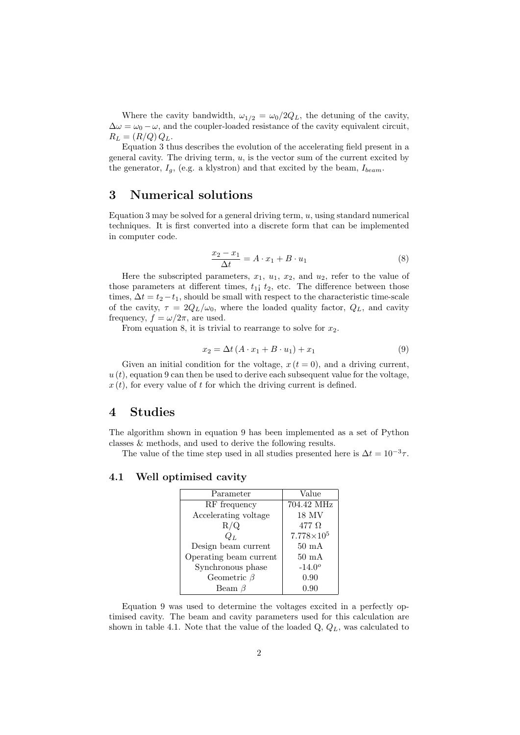Where the cavity bandwidth,  $\omega_{1/2} = \omega_0/2Q_L$ , the detuning of the cavity,  $\Delta\omega = \omega_0 - \omega$ , and the coupler-loaded resistance of the cavity equivalent circuit,  $R_L = (R/Q) Q_L$ .

Equation 3 thus describes the evolution of the accelerating field present in a general cavity. The driving term,  $u$ , is the vector sum of the current excited by the generator,  $I_q$ , (e.g. a klystron) and that excited by the beam,  $I_{beam}$ .

## 3 Numerical solutions

Equation 3 may be solved for a general driving term,  $u$ , using standard numerical techniques. It is first converted into a discrete form that can be implemented in computer code.

$$
\frac{x_2 - x_1}{\Delta t} = A \cdot x_1 + B \cdot u_1 \tag{8}
$$

Here the subscripted parameters,  $x_1$ ,  $u_1$ ,  $x_2$ , and  $u_2$ , refer to the value of those parameters at different times,  $t_{1}$ ;  $t_{2}$ , etc. The difference between those times,  $\Delta t = t_2 - t_1$ , should be small with respect to the characteristic time-scale of the cavity,  $\tau = 2Q_L/\omega_0$ , where the loaded quality factor,  $Q_L$ , and cavity frequency,  $f = \omega/2\pi$ , are used.

From equation 8, it is trivial to rearrange to solve for  $x_2$ .

$$
x_2 = \Delta t \left( A \cdot x_1 + B \cdot u_1 \right) + x_1 \tag{9}
$$

Given an initial condition for the voltage,  $x(t = 0)$ , and a driving current,  $u(t)$ , equation 9 can then be used to derive each subsequent value for the voltage,  $x(t)$ , for every value of t for which the driving current is defined.

## 4 Studies

The algorithm shown in equation 9 has been implemented as a set of Python classes & methods, and used to derive the following results.

The value of the time step used in all studies presented here is  $\Delta t = 10^{-3} \tau$ .

#### 4.1 Well optimised cavity

| Parameter              | Value               |
|------------------------|---------------------|
| RF frequency           | 704.42 MHz          |
| Accelerating voltage   | 18 MV               |
| R/Q                    | 477 $\Omega$        |
| $Q_L$                  | $7.778\times10^{5}$ |
| Design beam current    | $50 \text{ mA}$     |
| Operating beam current | $50 \text{ mA}$     |
| Synchronous phase      | $-14.0^{\circ}$     |
| Geometric $\beta$      | 0.90                |
| Beam $\beta$           | 0.90                |

Equation 9 was used to determine the voltages excited in a perfectly optimised cavity. The beam and cavity parameters used for this calculation are shown in table 4.1. Note that the value of the loaded  $Q, Q_L$ , was calculated to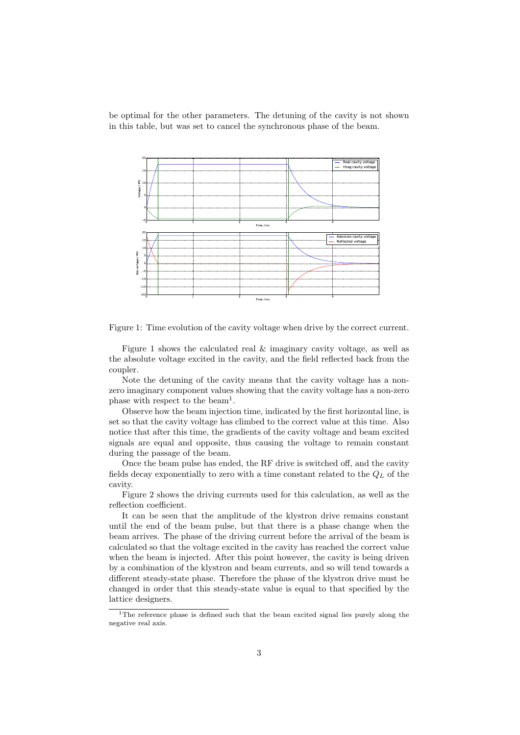be optimal for the other parameters. The detuning of the cavity is not shown in this table, but was set to cancel the synchronous phase of the beam.



Figure 1: Time evolution of the cavity voltage when drive by the correct current.

Figure 1 shows the calculated real & imaginary cavity voltage, as well as the absolute voltage excited in the cavity, and the field reflected back from the coupler.

Note the detuning of the cavity means that the cavity voltage has a nonzero imaginary component values showing that the cavity voltage has a non-zero phase with respect to the beam<sup>1</sup>.

Observe how the beam injection time, indicated by the first horizontal line, is set so that the cavity voltage has climbed to the correct value at this time. Also notice that after this time, the gradients of the cavity voltage and beam excited signals are equal and opposite, thus causing the voltage to remain constant during the passage of the beam.

Once the beam pulse has ended, the RF drive is switched off, and the cavity fields decay exponentially to zero with a time constant related to the  $Q_L$  of the cavity.

Figure 2 shows the driving currents used for this calculation, as well as the reflection coefficient.

It can be seen that the amplitude of the klystron drive remains constant until the end of the beam pulse, but that there is a phase change when the beam arrives. The phase of the driving current before the arrival of the beam is calculated so that the voltage excited in the cavity has reached the correct value when the beam is injected. After this point however, the cavity is being driven by a combination of the klystron and beam currents, and so will tend towards a different steady-state phase. Therefore the phase of the klystron drive must be changed in order that this steady-state value is equal to that specified by the lattice designers.

<sup>&</sup>lt;sup>1</sup>The reference phase is defined such that the beam excited signal lies purely along the negative real axis.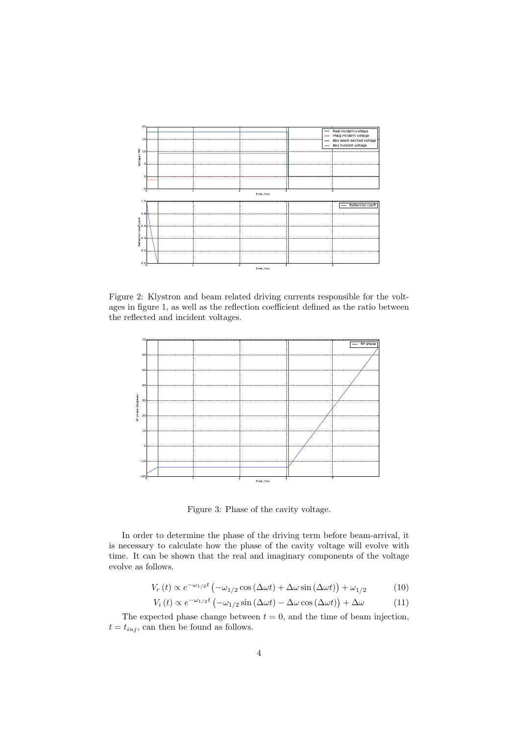

Figure 2: Klystron and beam related driving currents responsible for the voltages in figure 1, as well as the reflection coefficient defined as the ratio between the reflected and incident voltages.



Figure 3: Phase of the cavity voltage.

In order to determine the phase of the driving term before beam-arrival, it is necessary to calculate how the phase of the cavity voltage will evolve with time. It can be shown that the real and imaginary components of the voltage evolve as follows.

$$
V_r(t) \propto e^{-\omega_{1/2}t} \left( -\omega_{1/2} \cos(\Delta \omega t) + \Delta \omega \sin(\Delta \omega t) \right) + \omega_{1/2}
$$
 (10)

$$
V_i(t) \propto e^{-\omega_{1/2}t} \left( -\omega_{1/2} \sin(\Delta \omega t) - \Delta \omega \cos(\Delta \omega t) \right) + \Delta \omega \tag{11}
$$

The expected phase change between  $t = 0$ , and the time of beam injection,  $t = t_{inj}$ , can then be found as follows.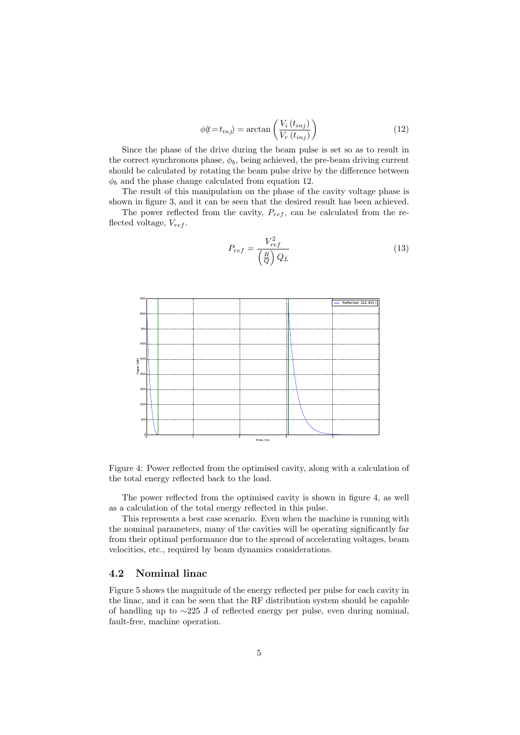$$
\phi(t = t_{inj}) = \arctan\left(\frac{V_i(t_{inj})}{V_r(t_{inj})}\right)
$$
\n(12)

Since the phase of the drive during the beam pulse is set so as to result in the correct synchronous phase,  $\phi_b$ , being achieved, the pre-beam driving current should be calculated by rotating the beam pulse drive by the difference between  $\phi_b$  and the phase change calculated from equation 12.

The result of this manipulation on the phase of the cavity voltage phase is shown in figure 3, and it can be seen that the desired result has been achieved.

The power reflected from the cavity,  $P_{ref}$ , can be calculated from the reflected voltage,  $V_{ref}$ .

$$
P_{ref} = \frac{V_{ref}^2}{\left(\frac{R}{Q}\right)Q_L} \tag{13}
$$



Figure 4: Power reflected from the optimised cavity, along with a calculation of the total energy reflected back to the load.

The power reflected from the optimised cavity is shown in figure 4, as well as a calculation of the total energy reflected in this pulse.

This represents a best case scenario. Even when the machine is running with the nominal parameters, many of the cavities will be operating significantly far from their optimal performance due to the spread of accelerating voltages, beam velocities, etc., required by beam dynamics considerations.

### 4.2 Nominal linac

Figure 5 shows the magnitude of the energy reflected per pulse for each cavity in the linac, and it can be seen that the RF distribution system should be capable of handling up to ∼225 J of reflected energy per pulse, even during nominal, fault-free, machine operation.